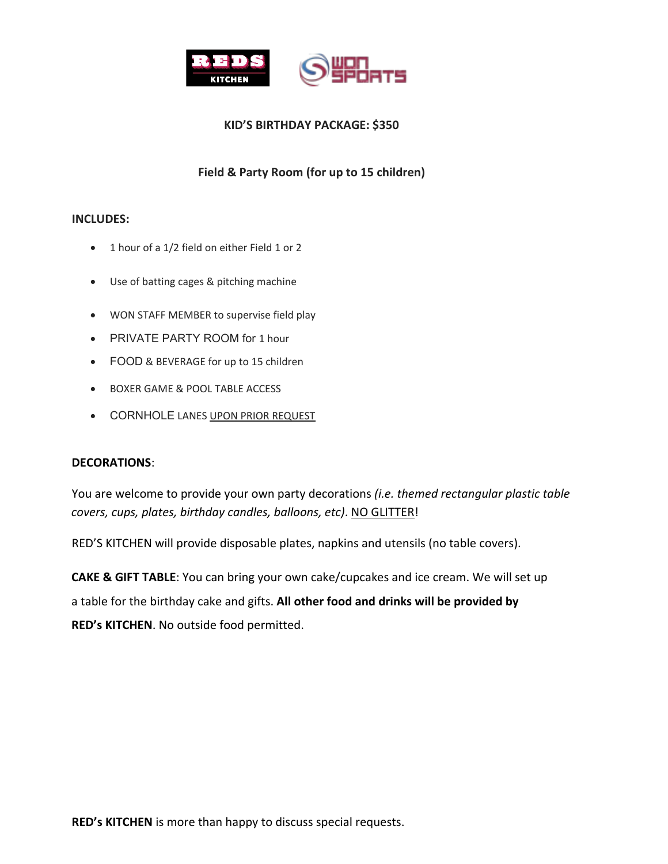

### **KID'S BIRTHDAY PACKAGE: \$350**

## **Field & Party Room (for up to 15 children)**

#### **INCLUDES:**

- 1 hour of a 1/2 field on either Field 1 or 2
- Use of batting cages & pitching machine
- WON STAFF MEMBER to supervise field play
- PRIVATE PARTY ROOM for 1 hour
- FOOD & BEVERAGE for up to 15 children
- BOXER GAME & POOL TABLE ACCESS
- **CORNHOLE LANES UPON PRIOR REQUEST**

#### **DECORATIONS**:

You are welcome to provide your own party decorations *(i.e. themed rectangular plastic table covers, cups, plates, birthday candles, balloons, etc)*. NO GLITTER!

RED'S KITCHEN will provide disposable plates, napkins and utensils (no table covers).

**CAKE & GIFT TABLE**: You can bring your own cake/cupcakes and ice cream. We will set up a table for the birthday cake and gifts. **All other food and drinks will be provided by RED's KITCHEN**. No outside food permitted.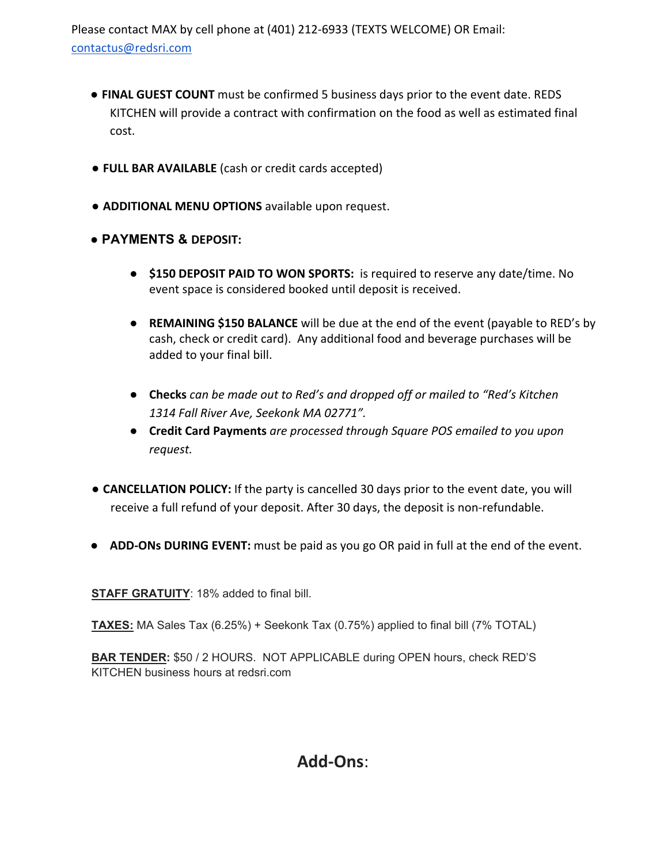Please contact MAX by cell phone at (401) 212-6933 (TEXTS WELCOME) OR Email: contactus@redsri.com

- **FINAL GUEST COUNT** must be confirmed 5 business days prior to the event date. REDS KITCHEN will provide a contract with confirmation on the food as well as estimated final cost.
- **FULL BAR AVAILABLE** (cash or credit cards accepted)
- **ADDITIONAL MENU OPTIONS** available upon request.
- **PAYMENTS & DEPOSIT:**
	- **\$150 DEPOSIT PAID TO WON SPORTS:** is required to reserve any date/time. No event space is considered booked until deposit is received.
	- **REMAINING \$150 BALANCE** will be due at the end of the event (payable to RED's by cash, check or credit card). Any additional food and beverage purchases will be added to your final bill.
	- **Checks** *can be made out to Red's and dropped off or mailed to "Red's Kitchen 1314 Fall River Ave, Seekonk MA 02771".*
	- **Credit Card Payments** *are processed through Square POS emailed to you upon request.*
- *●* **CANCELLATION POLICY:** If the party is cancelled 30 days prior to the event date, you will receive a full refund of your deposit. After 30 days, the deposit is non-refundable.
- **ADD-ONs DURING EVENT:** must be paid as you go OR paid in full at the end of the event.

**STAFF GRATUITY**: 18% added to final bill.

**TAXES:** MA Sales Tax (6.25%) + Seekonk Tax (0.75%) applied to final bill (7% TOTAL)

**BAR TENDER:** \$50 / 2 HOURS. NOT APPLICABLE during OPEN hours, check RED'S KITCHEN business hours at redsri.com

# **Add-Ons**: